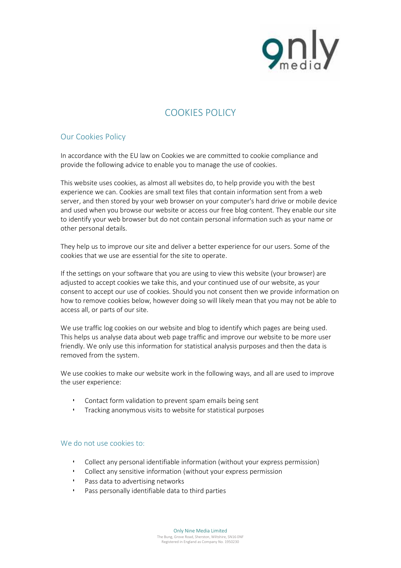

## **COOKIES POLICY**

## **Our Cookies Policy**

In accordance with the EU law on Cookies we are committed to cookie compliance and provide the following advice to enable you to manage the use of cookies.

This website uses cookies, as almost all websites do, to help provide you with the best experience we can. Cookies are small text files that contain information sent from a web server, and then stored by your web browser on your computer's hard drive or mobile device and used when you browse our website or access our free blog content. They enable our site to identify your web browser but do not contain personal information such as your name or other personal details.

They help us to improve our site and deliver a better experience for our users. Some of the cookies that we use are essential for the site to operate.

If the settings on your software that you are using to view this website (your browser) are adjusted to accept cookies we take this, and your continued use of our website, as your consent to accept our use of cookies. Should you not consent then we provide information on how to remove cookies below, however doing so will likely mean that you may not be able to access all, or parts of our site.

We use traffic log cookies on our website and blog to identify which pages are being used. This helps us analyse data about web page traffic and improve our website to be more user friendly. We only use this information for statistical analysis purposes and then the data is removed from the system.

We use cookies to make our website work in the following ways, and all are used to improve the user experience:

- Contact form validation to prevent spam emails being sent
- Tracking anonymous visits to website for statistical purposes

## **We do not use cookies to:**

- Collect any personal identifiable information (without your express permission)
- Collect any sensitive information (without your express permission
- Pass data to advertising networks
- Pass personally identifiable data to third parties